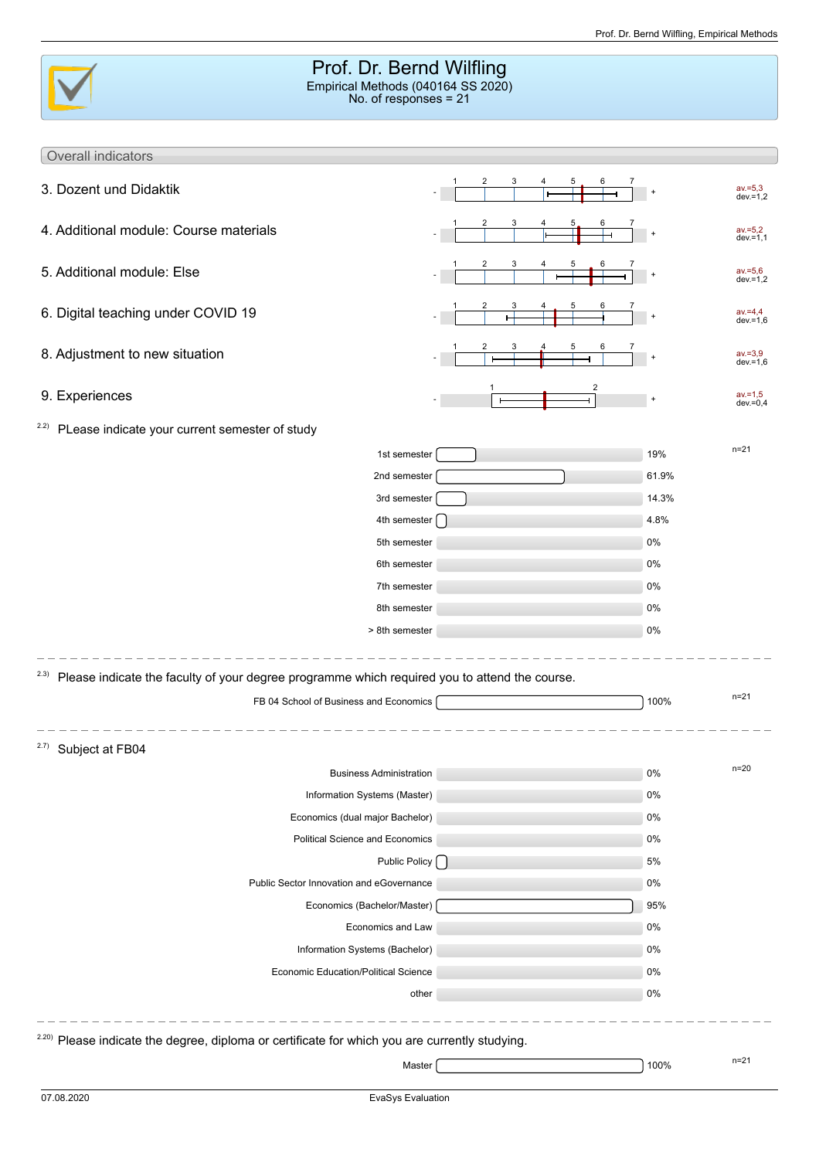|                                                                                                               | Prof. Dr. Bernd Wilfling<br>Empirical Methods (040164 SS 2020)<br>No. of responses $= 21$ |                      |                           |
|---------------------------------------------------------------------------------------------------------------|-------------------------------------------------------------------------------------------|----------------------|---------------------------|
| Overall indicators                                                                                            |                                                                                           |                      |                           |
| 3. Dozent und Didaktik                                                                                        | 3<br>2<br>5                                                                               | $\ddot{}$            | av.=5,3<br>dev.=1,2       |
| 4. Additional module: Course materials                                                                        | 3<br>5                                                                                    |                      | $av = 5,2$<br>$dev = 1,1$ |
| 5. Additional module: Else                                                                                    | 2<br>3<br>5                                                                               | $\ddot{\phantom{1}}$ | $av = 5,6$<br>$dev = 1,2$ |
| 6. Digital teaching under COVID 19                                                                            | 5                                                                                         |                      | $av = 4,4$<br>$dev = 1,6$ |
| 8. Adjustment to new situation                                                                                |                                                                                           | $\ddot{\phantom{1}}$ | $av = 3,9$<br>$dev = 1.6$ |
| 9. Experiences                                                                                                | 2                                                                                         | $\ddot{}$            | $av = 1,5$<br>$dev = 0.4$ |
| <sup>2.2)</sup> PLease indicate your current semester of study                                                |                                                                                           |                      |                           |
|                                                                                                               | 1st semester                                                                              | 19%                  | $n = 21$                  |
|                                                                                                               | 2nd semester                                                                              | 61.9%                |                           |
|                                                                                                               | 3rd semester                                                                              | 14.3%                |                           |
|                                                                                                               | 4th semester [                                                                            | 4.8%                 |                           |
|                                                                                                               | 5th semester                                                                              | 0%                   |                           |
|                                                                                                               | 6th semester                                                                              | 0%                   |                           |
|                                                                                                               | 7th semester                                                                              | 0%                   |                           |
|                                                                                                               | 8th semester                                                                              | 0%                   |                           |
|                                                                                                               | > 8th semester                                                                            | 0%                   |                           |
| <sup>2.3)</sup> Please indicate the faculty of your degree programme which required you to attend the course. |                                                                                           |                      | $n = 21$                  |
| FB 04 School of Business and Economics                                                                        |                                                                                           | 100%                 |                           |
| <sup>2.7)</sup> Subject at FB04                                                                               |                                                                                           |                      |                           |
|                                                                                                               | <b>Business Administration</b>                                                            | 0%                   | $n = 20$                  |
|                                                                                                               | Information Systems (Master)                                                              | 0%                   |                           |
|                                                                                                               | Economics (dual major Bachelor)                                                           | 0%                   |                           |
|                                                                                                               | Political Science and Economics                                                           | 0%                   |                           |
|                                                                                                               | Public Policy [ ]                                                                         | 5%                   |                           |
| Public Sector Innovation and eGovernance                                                                      |                                                                                           | 0%                   |                           |
|                                                                                                               | Economics (Bachelor/Master)                                                               | 95%                  |                           |
|                                                                                                               | Economics and Law                                                                         | 0%                   |                           |
|                                                                                                               | Information Systems (Bachelor)                                                            | 0%                   |                           |
|                                                                                                               | Economic Education/Political Science                                                      | 0%                   |                           |
|                                                                                                               | other                                                                                     | 0%                   |                           |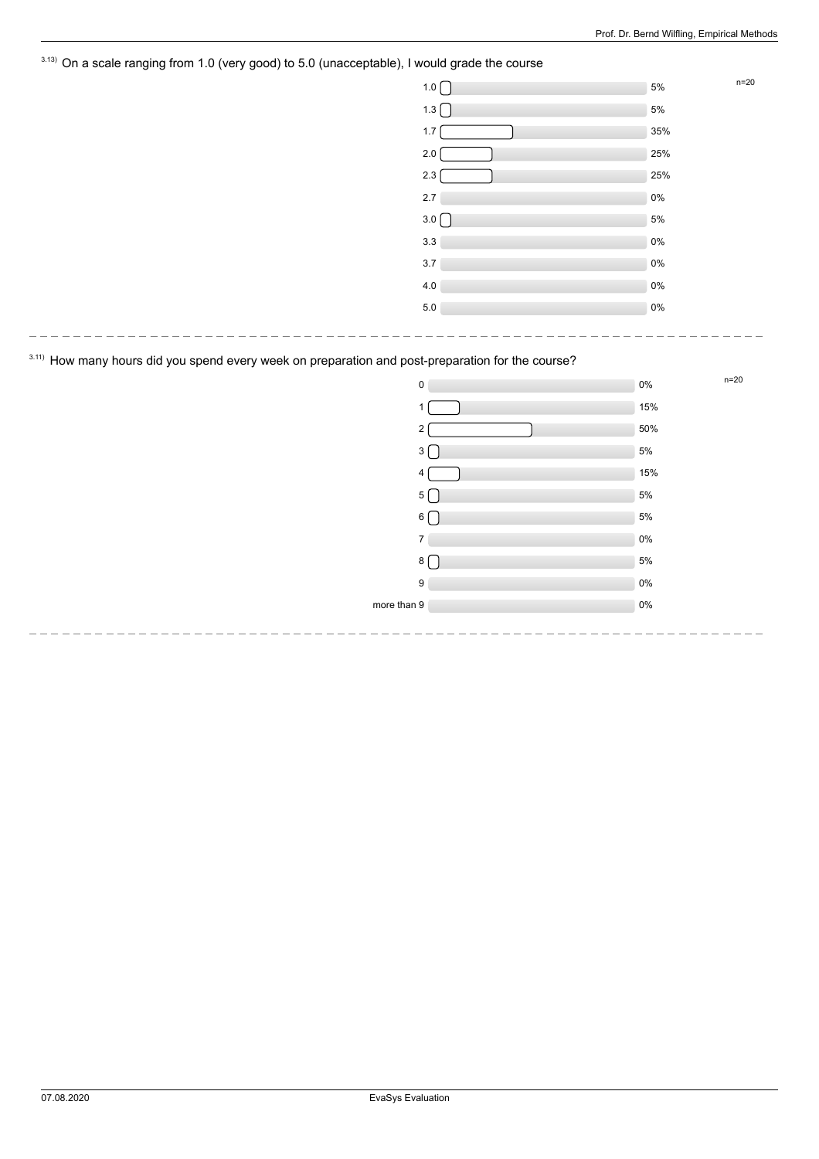# <sup>3.13)</sup> On a scale ranging from 1.0 (very good) to 5.0 (unacceptable), I would grade the course

| $\overline{\phantom{a}}$ | <u>ັ</u><br>. |       |        |
|--------------------------|---------------|-------|--------|
|                          | 1.0           | 5%    | $n=20$ |
|                          | 1.3           | 5%    |        |
|                          | 1.7           | 35%   |        |
|                          | 2.0           | 25%   |        |
|                          | 2.3           | 25%   |        |
|                          | $2.7\,$       | $0\%$ |        |
|                          | 3.0           | 5%    |        |
|                          | 3.3           | $0\%$ |        |
|                          | $3.7\,$       | $0\%$ |        |
|                          | 4.0           | $0\%$ |        |
|                          | $5.0\,$       | $0\%$ |        |
|                          |               |       |        |

# 3.11) How many hours did you spend every week on preparation and post-preparation for the course?

---------------------------

| $\pmb{0}$        | 0%    | n=20 |
|------------------|-------|------|
| $\mathbf{1}$     | 15%   |      |
| 2                | 50%   |      |
| $3\lceil$        | $5\%$ |      |
| 4 <sup>1</sup>   | 15%   |      |
| 5 <sup>5</sup>   | $5\%$ |      |
| $6 \mid$         | $5\%$ |      |
| $\overline{7}$   | $0\%$ |      |
| 8 [              | $5\%$ |      |
| $\boldsymbol{9}$ | $0\%$ |      |
| more than 9      | $0\%$ |      |
|                  |       |      |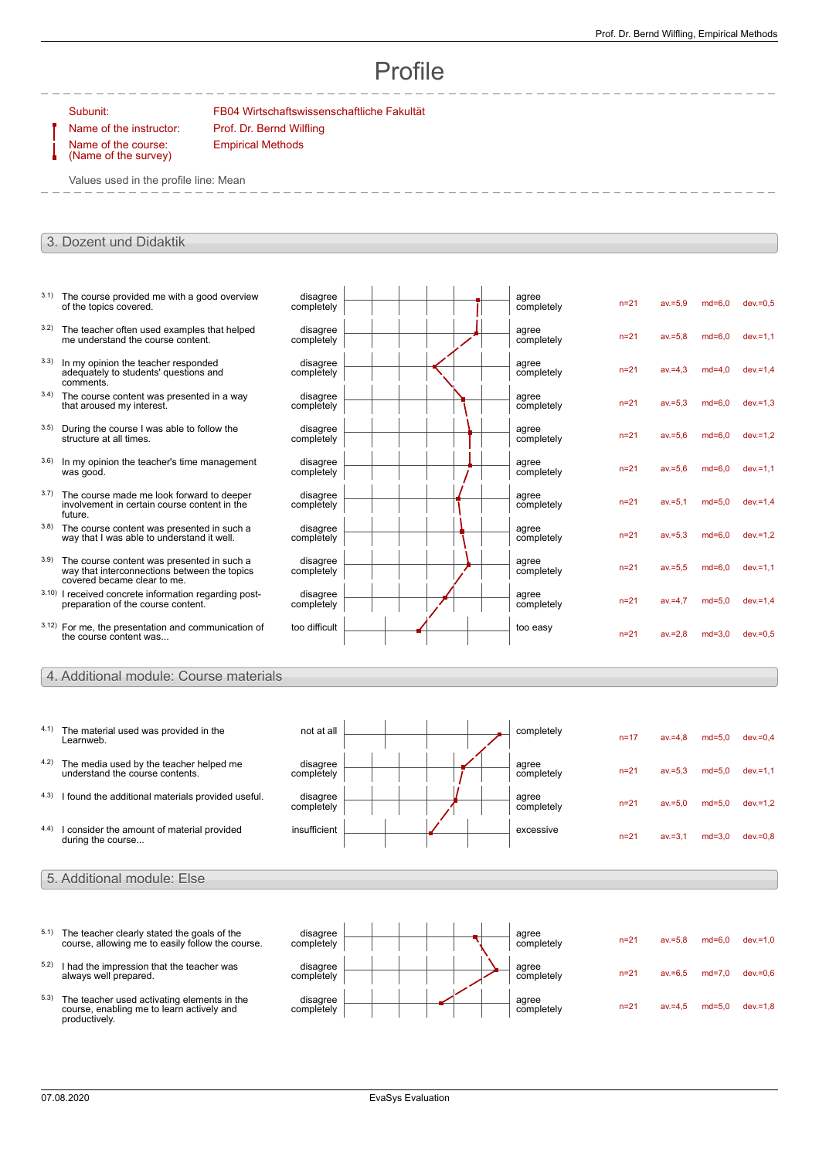# Profile

Name of the course:

Subunit: FB04 Wirtschaftswissenschaftliche Fakultät Name of the instructor: Prof. Dr. Bernd Wilfling

(Name of the survey)

Values used in the profile line: Mean

Empirical Methods

#### 3. Dozent und Didaktik

| 3.1) | The course provided me with a good overview<br>of the topics covered.                                                     | disagree<br>completely |  | agree<br>completely | $n = 21$ | $av = 5.9$ | $md=6.0$ | $dev = 0.5$ |  |
|------|---------------------------------------------------------------------------------------------------------------------------|------------------------|--|---------------------|----------|------------|----------|-------------|--|
| 3.2) | The teacher often used examples that helped<br>me understand the course content.                                          | disagree<br>completely |  | agree<br>completely | $n = 21$ | $av = 5.8$ | $md=6.0$ | $dev = 1.1$ |  |
| 3.3) | In my opinion the teacher responded<br>adequately to students' questions and<br>comments.                                 | disagree<br>completely |  | agree<br>completely | $n = 21$ | $av = 4.3$ | $md=4.0$ | $dev = 1.4$ |  |
| 3.4) | The course content was presented in a way<br>that aroused my interest.                                                    | disagree<br>completely |  | agree<br>completely | $n=21$   | $av = 5.3$ | $md=6.0$ | $dev = 1.3$ |  |
| 3.5) | During the course I was able to follow the<br>structure at all times.                                                     | disagree<br>completely |  | agree<br>completely | $n = 21$ | $av = 5.6$ | $md=6.0$ | $dev = 1.2$ |  |
| 3.6) | In my opinion the teacher's time management<br>was good.                                                                  | disagree<br>completely |  | agree<br>completely | $n = 21$ | $av = 5.6$ | $md=6.0$ | $dev = 1.1$ |  |
| 3.7) | The course made me look forward to deeper<br>involvement in certain course content in the<br>future.                      | disagree<br>completely |  | agree<br>completely | $n = 21$ | $av = 5.1$ | $md=5.0$ | $dev = 1.4$ |  |
| 3.8) | The course content was presented in such a<br>way that I was able to understand it well.                                  | disagree<br>completely |  | agree<br>completely | $n=21$   | $av = 5.3$ | $md=6.0$ | $dev = 1.2$ |  |
| 3.9) | The course content was presented in such a<br>way that interconnections between the topics<br>covered became clear to me. | disagree<br>completely |  | agree<br>completely | $n = 21$ | $av = 5.5$ | $md=6.0$ | $dev = 1.1$ |  |
|      | 3.10) I received concrete information regarding post-<br>preparation of the course content.                               | disagree<br>completely |  | agree<br>completely | $n=21$   | $av = 4.7$ | $md=5.0$ | $dev = 1.4$ |  |
|      | 3.12) For me, the presentation and communication of<br>the course content was                                             | too difficult          |  | too easy            | $n = 21$ | $av = 2.8$ | $md=3.0$ | $dev = 0.5$ |  |

#### 4. Additional module: Course materials

- 4.1) The material used was provided in the Learnweb.  $\begin{array}{|c|c|c|c|c|}\n\hline\n\text{not at all} & \text{---} & \text{---} & \text{completely}\n\end{array}$ n=17 av.=4,8 md=5,0 dev.=0,4 4.2) The media used by the teacher helped me understand the course contents. disagree completely agree completely n=21 av.=5,3 md=5,0 dev.=1,1  $4.3)$  I found the additional materials provided useful. disagree<br>completely agree completely n=21 av.=5,0 md=5,0 dev.=1,2 4.4) I consider the amount of material provided during the course...  $\frac{1}{\sqrt{1-\frac{1}{\sqrt{1-\frac{1}{\sqrt{1-\frac{1}{\sqrt{1-\frac{1}{\sqrt{1-\frac{1}{\sqrt{1-\frac{1}{\sqrt{1-\frac{1}{\sqrt{1-\frac{1}{\sqrt{1-\frac{1}{\sqrt{1-\frac{1}{\sqrt{1-\frac{1}{\sqrt{1-\frac{1}{\sqrt{1-\frac{1}{\sqrt{1-\frac{1}{\sqrt{1-\frac{1}{\sqrt{1-\frac{1}{\sqrt{1-\frac{1}{\sqrt{1-\frac{1}{\sqrt{1-\frac{1}{\sqrt{1-\frac{1}{\sqrt{1-\frac{1}{\sqrt{1-\frac{1}{\sqrt{1-\frac{1}{\sqrt{1-\frac{1$ n=21 av.=3,1 md=3,0 dev.=0,8
- 5. Additional module: Else
- $5.1$ ) The teacher clearly stated the goals of the course, allowing me to easily follow the course.
- $5.2$ ) I had the impression that the teacher was always well prepared.
- 5.3) The teacher used activating elements in the course, enabling me to learn actively and productively.

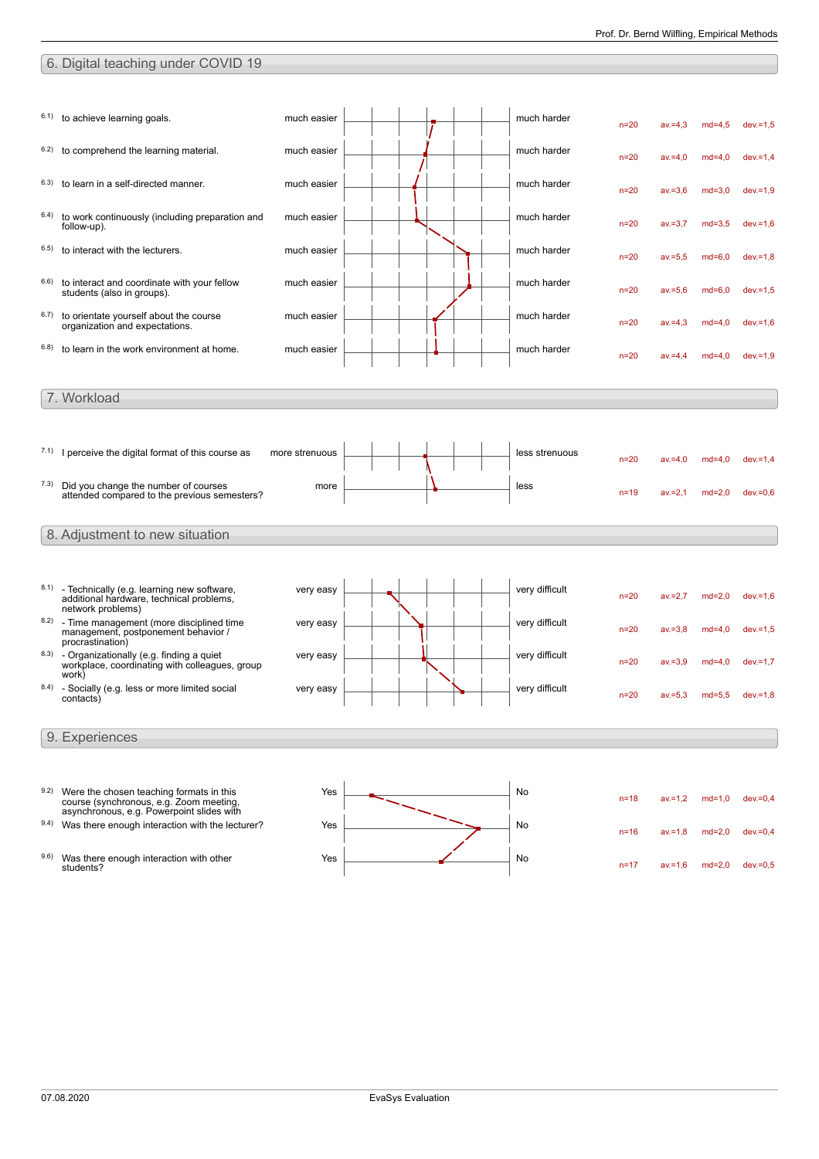# 6. Digital teaching under COVID 19

| 6.1) | to achieve learning goals.                                                          | much easier    |  | much harder    | $n=20$   | $av = 4,3$ | $md=4,5$ | $dev = 1.5$ |
|------|-------------------------------------------------------------------------------------|----------------|--|----------------|----------|------------|----------|-------------|
| 6.2) | to comprehend the learning material.                                                | much easier    |  | much harder    | $n=20$   | $av = 4.0$ | $md=4,0$ | $dev = 1,4$ |
| 6.3) | to learn in a self-directed manner.                                                 | much easier    |  | much harder    | $n=20$   | $av = 3,6$ | $md=3,0$ | $dev = 1.9$ |
| 6.4) | to work continuously (including preparation and<br>follow-up).                      | much easier    |  | much harder    | $n=20$   | $av = 3,7$ | $md=3,5$ | $dev = 1.6$ |
| 6.5) | to interact with the lecturers.                                                     | much easier    |  | much harder    | $n=20$   | $av = 5,5$ | $md=6,0$ | $dev = 1,8$ |
| 6.6) | to interact and coordinate with your fellow<br>students (also in groups).           | much easier    |  | much harder    | $n=20$   | $av = 5.6$ | $md=6.0$ | $dev = 1.5$ |
| 6.7) | to orientate yourself about the course<br>organization and expectations.            | much easier    |  | much harder    | $n=20$   | $av = 4.3$ | $md=4.0$ | $dev = 1.6$ |
| 6.8) | to learn in the work environment at home.                                           | much easier    |  | much harder    | $n=20$   | $av = 4.4$ | $md=4.0$ | $dev = 1.9$ |
|      |                                                                                     |                |  |                |          |            |          |             |
|      | 7. Workload                                                                         |                |  |                |          |            |          |             |
|      |                                                                                     |                |  |                |          |            |          |             |
|      |                                                                                     |                |  |                |          |            |          |             |
|      | $7.1$ ) I perceive the digital format of this course as                             | more strenuous |  | less strenuous |          |            |          |             |
|      |                                                                                     |                |  |                | $n=20$   | $av = 4.0$ | $md=4.0$ | $dev = 1.4$ |
| 7.3) | Did you change the number of courses                                                | more           |  | less           |          |            |          |             |
|      | attended compared to the previous semesters?                                        |                |  |                | $n=19$   | $av = 2,1$ | $md=2.0$ | $dev = 0.6$ |
|      |                                                                                     |                |  |                |          |            |          |             |
|      | 8. Adjustment to new situation                                                      |                |  |                |          |            |          |             |
|      |                                                                                     |                |  |                |          |            |          |             |
|      |                                                                                     |                |  |                |          |            |          |             |
|      | 8.1) - Technically (e.g. learning new software,                                     | very easy      |  | very difficult |          |            |          |             |
|      | additional hardware, technical problems,<br>network problems)                       |                |  |                | $n=20$   | $av = 2.7$ | $md=2.0$ | $dev = 1.6$ |
|      | 8.2) - Time management (more disciplined time                                       | very easy      |  | very difficult |          |            |          |             |
|      | management, postponement behavior /<br>procrastination)                             |                |  |                | $n=20$   | $av = 3.8$ | $md=4.0$ | $dev = 1.5$ |
|      | $8.3$ ) - Organizationally (e.g. finding a quiet                                    | very easy      |  | very difficult | $n=20$   | $av = 3.9$ | $md=4.0$ | $dev = 1.7$ |
|      | workplace, coordinating with colleagues, group<br>work)                             |                |  |                |          |            |          |             |
| 8.4) | - Socially (e.g. less or more limited social<br>contacts)                           | very easy      |  | very difficult | $n=20$   | $av = 5.3$ | $md=5.5$ | $dev = 1,8$ |
|      |                                                                                     |                |  |                |          |            |          |             |
|      |                                                                                     |                |  |                |          |            |          |             |
|      | 9. Experiences                                                                      |                |  |                |          |            |          |             |
|      |                                                                                     |                |  |                |          |            |          |             |
|      |                                                                                     |                |  |                |          |            |          |             |
| 9.2) | Were the chosen teaching formats in this<br>course (synchronous, e.g. Zoom meeting, | Yes            |  | No             | $n = 18$ | $av = 1,2$ | $md=1.0$ | $dev = 0,4$ |
|      | asynchronous, e.g. Powerpoint slides with                                           |                |  |                |          |            |          |             |
| 9.4) | Was there enough interaction with the lecturer?                                     | Yes            |  | No             | $n = 16$ | $av = 1.8$ | $md=2,0$ | $dev = 0,4$ |
|      |                                                                                     |                |  |                |          |            |          |             |
| 9.6) | Was there enough interaction with other                                             | Yes            |  | No             |          |            |          |             |